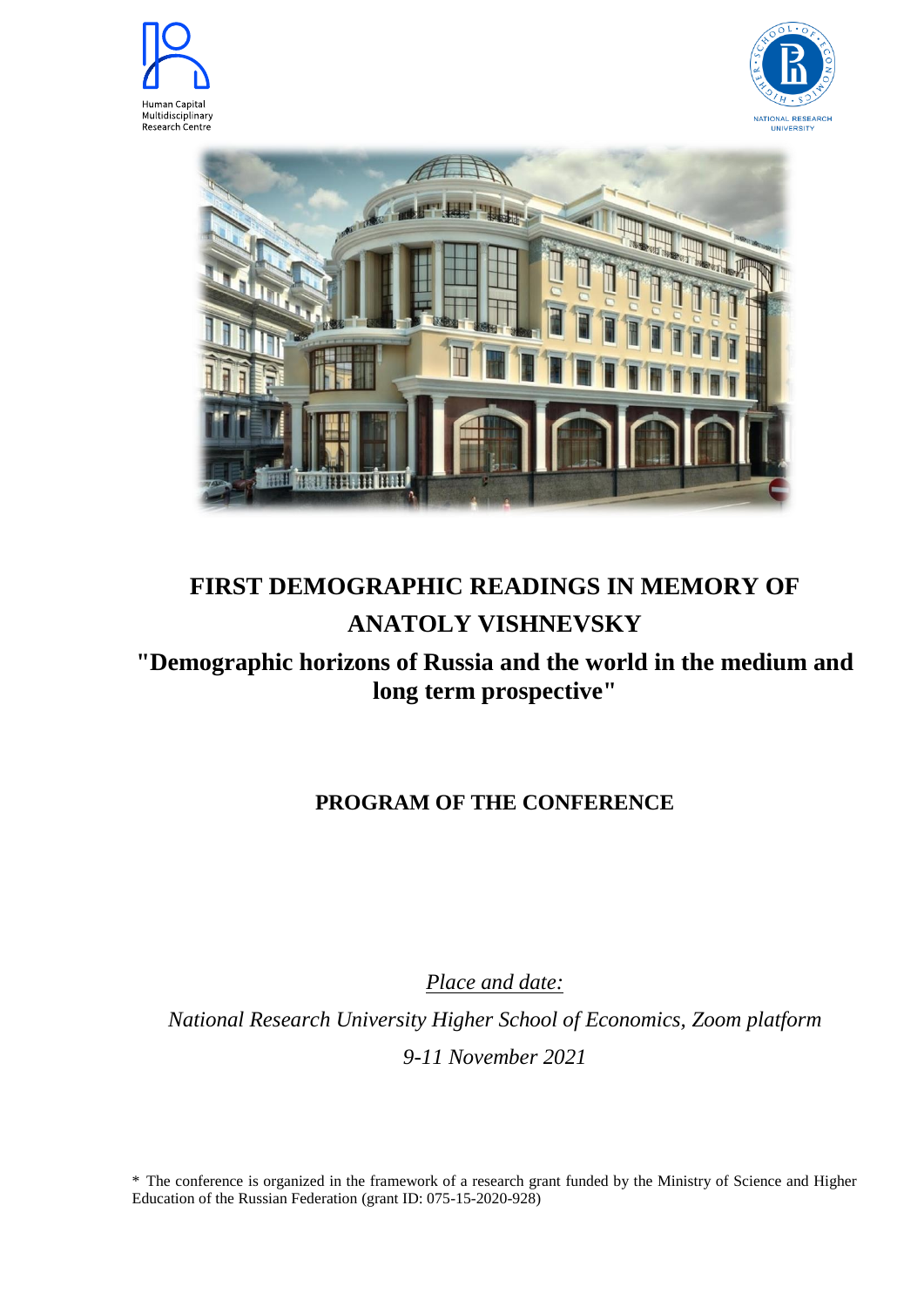





## **FIRST DEMOGRAPHIC READINGS IN MEMORY OF ANATOLY VISHNEVSKY**

## **"Demographic horizons of Russia and the world in the medium and long term prospective"**

## **PROGRAM OF THE CONFERENCE**

*Place and date:*

*National Research University Higher School of Economics, Zoom platform 9-11 November 2021*

\* The conference is organized in the framework of a research grant funded by the Ministry of Science and Higher Education of the Russian Federation (grant ID: 075-15-2020-928)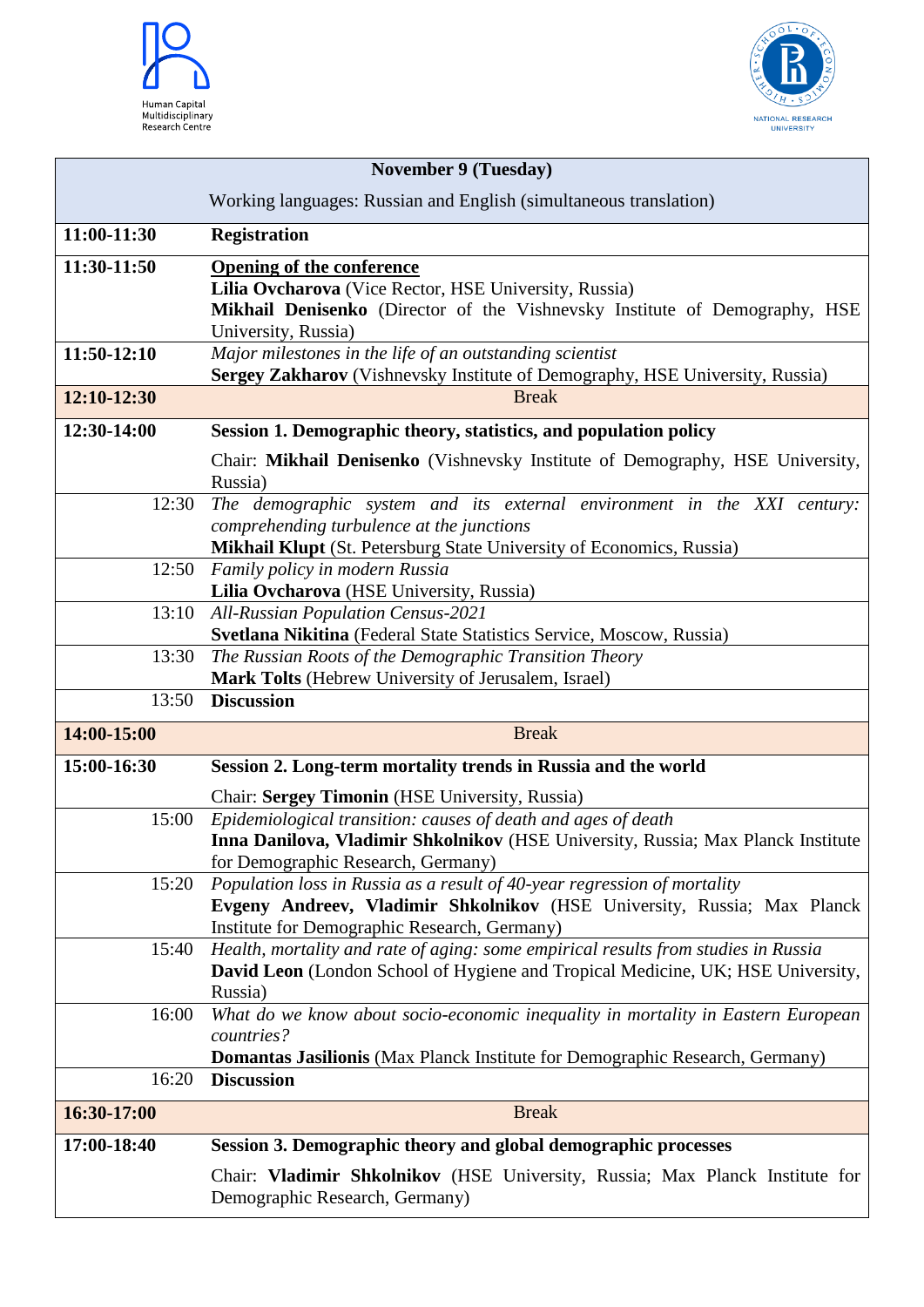



| <b>November 9 (Tuesday)</b> |                                                                                                                                                |
|-----------------------------|------------------------------------------------------------------------------------------------------------------------------------------------|
|                             | Working languages: Russian and English (simultaneous translation)                                                                              |
| 11:00-11:30                 | <b>Registration</b>                                                                                                                            |
| 11:30-11:50                 | <b>Opening of the conference</b>                                                                                                               |
|                             | Lilia Ovcharova (Vice Rector, HSE University, Russia)<br>Mikhail Denisenko (Director of the Vishnevsky Institute of Demography, HSE            |
|                             | University, Russia)                                                                                                                            |
| 11:50-12:10                 | Major milestones in the life of an outstanding scientist                                                                                       |
|                             | Sergey Zakharov (Vishnevsky Institute of Demography, HSE University, Russia)                                                                   |
| 12:10-12:30                 | <b>Break</b>                                                                                                                                   |
| 12:30-14:00                 | Session 1. Demographic theory, statistics, and population policy                                                                               |
|                             | Chair: Mikhail Denisenko (Vishnevsky Institute of Demography, HSE University,                                                                  |
| 12:30                       | Russia)<br>The demographic system and its external environment in the XXI century:                                                             |
|                             | comprehending turbulence at the junctions                                                                                                      |
|                             | <b>Mikhail Klupt</b> (St. Petersburg State University of Economics, Russia)                                                                    |
| 12:50                       | Family policy in modern Russia                                                                                                                 |
|                             | Lilia Ovcharova (HSE University, Russia)                                                                                                       |
| 13:10                       | <b>All-Russian Population Census-2021</b>                                                                                                      |
|                             | Svetlana Nikitina (Federal State Statistics Service, Moscow, Russia)                                                                           |
| 13:30                       | The Russian Roots of the Demographic Transition Theory                                                                                         |
| 13:50                       | Mark Tolts (Hebrew University of Jerusalem, Israel)<br><b>Discussion</b>                                                                       |
|                             |                                                                                                                                                |
| 14:00-15:00                 | <b>Break</b>                                                                                                                                   |
| 15:00-16:30                 | Session 2. Long-term mortality trends in Russia and the world                                                                                  |
|                             | Chair: Sergey Timonin (HSE University, Russia)                                                                                                 |
| 15:00                       | Epidemiological transition: causes of death and ages of death                                                                                  |
|                             | Inna Danilova, Vladimir Shkolnikov (HSE University, Russia; Max Planck Institute                                                               |
| 15:20                       | for Demographic Research, Germany)<br>Population loss in Russia as a result of 40-year regression of mortality                                 |
|                             | Evgeny Andreev, Vladimir Shkolnikov (HSE University, Russia; Max Planck                                                                        |
|                             | Institute for Demographic Research, Germany)                                                                                                   |
| 15:40                       | Health, mortality and rate of aging: some empirical results from studies in Russia                                                             |
|                             | David Leon (London School of Hygiene and Tropical Medicine, UK; HSE University,                                                                |
|                             | Russia)                                                                                                                                        |
| 16:00                       | What do we know about socio-economic inequality in mortality in Eastern European                                                               |
|                             |                                                                                                                                                |
|                             | countries?                                                                                                                                     |
| 16:20                       | <b>Domantas Jasilionis</b> (Max Planck Institute for Demographic Research, Germany)<br><b>Discussion</b>                                       |
|                             |                                                                                                                                                |
| 16:30-17:00                 | <b>Break</b>                                                                                                                                   |
| 17:00-18:40                 | Session 3. Demographic theory and global demographic processes<br>Chair: Vladimir Shkolnikov (HSE University, Russia; Max Planck Institute for |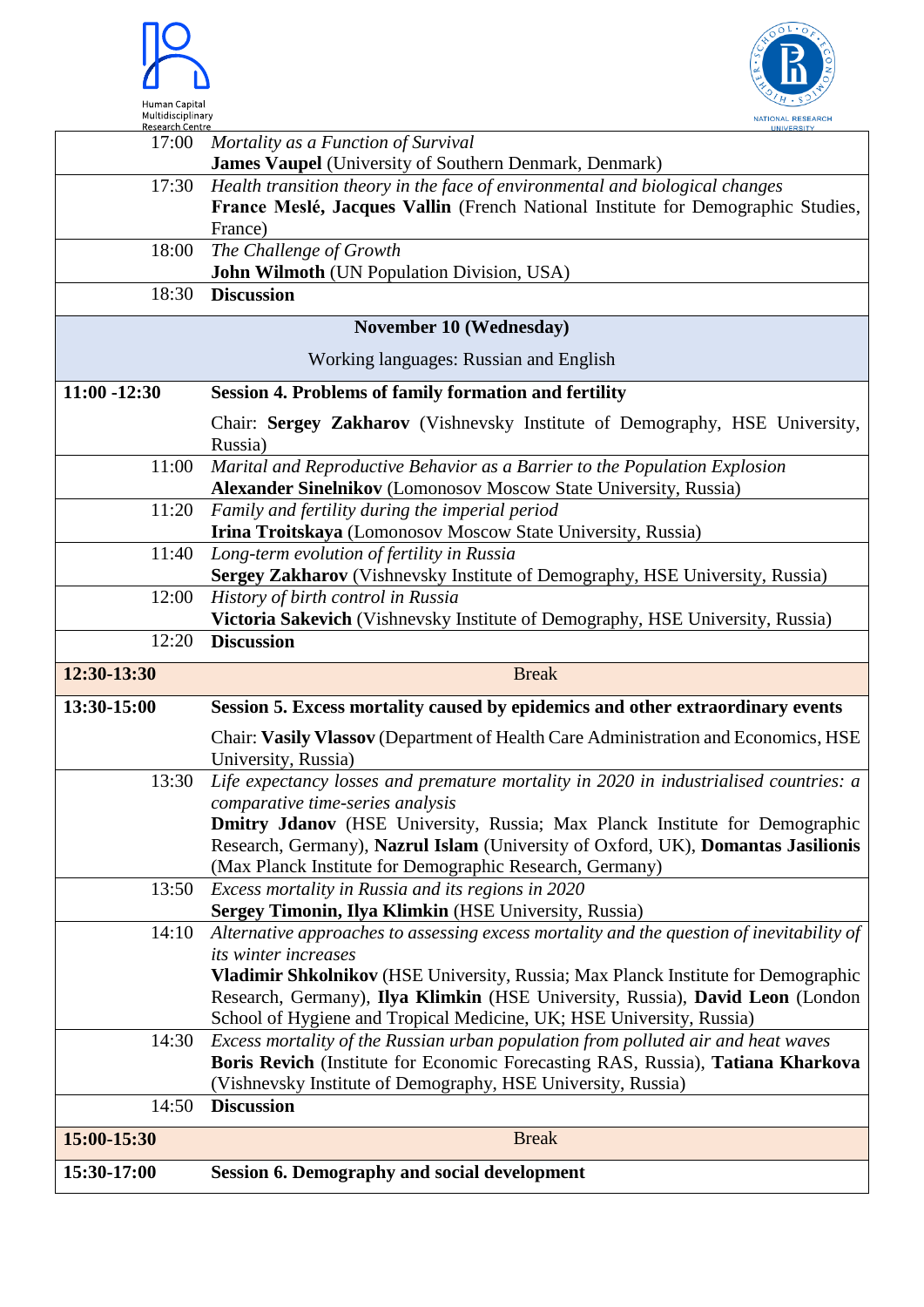



| Research Centre                        |                                                                                           |
|----------------------------------------|-------------------------------------------------------------------------------------------|
| 17:00                                  | Mortality as a Function of Survival                                                       |
|                                        | <b>James Vaupel</b> (University of Southern Denmark, Denmark)                             |
| 17:30                                  | Health transition theory in the face of environmental and biological changes              |
|                                        | France Meslé, Jacques Vallin (French National Institute for Demographic Studies,          |
|                                        | France)                                                                                   |
|                                        |                                                                                           |
| 18:00                                  | The Challenge of Growth                                                                   |
|                                        | John Wilmoth (UN Population Division, USA)                                                |
| 18:30                                  | <b>Discussion</b>                                                                         |
|                                        | <b>November 10 (Wednesday)</b>                                                            |
| Working languages: Russian and English |                                                                                           |
| $11:00 - 12:30$                        | <b>Session 4. Problems of family formation and fertility</b>                              |
|                                        | Chair: Sergey Zakharov (Vishnevsky Institute of Demography, HSE University,               |
|                                        |                                                                                           |
|                                        | Russia)                                                                                   |
| 11:00                                  | Marital and Reproductive Behavior as a Barrier to the Population Explosion                |
|                                        | <b>Alexander Sinelnikov</b> (Lomonosov Moscow State University, Russia)                   |
| 11:20                                  | Family and fertility during the imperial period                                           |
|                                        | Irina Troitskaya (Lomonosov Moscow State University, Russia)                              |
| 11:40                                  | Long-term evolution of fertility in Russia                                                |
|                                        | Sergey Zakharov (Vishnevsky Institute of Demography, HSE University, Russia)              |
| 12:00                                  | History of birth control in Russia                                                        |
|                                        | Victoria Sakevich (Vishnevsky Institute of Demography, HSE University, Russia)            |
| 12:20                                  | <b>Discussion</b>                                                                         |
|                                        |                                                                                           |
|                                        |                                                                                           |
| 12:30-13:30                            | <b>Break</b>                                                                              |
| 13:30-15:00                            | Session 5. Excess mortality caused by epidemics and other extraordinary events            |
|                                        | Chair: Vasily Vlassov (Department of Health Care Administration and Economics, HSE        |
|                                        | University, Russia)                                                                       |
| 13:30                                  |                                                                                           |
|                                        | Life expectancy losses and premature mortality in 2020 in industrialised countries: a     |
|                                        | comparative time-series analysis                                                          |
|                                        | Dmitry Jdanov (HSE University, Russia; Max Planck Institute for Demographic               |
|                                        | Research, Germany), Nazrul Islam (University of Oxford, UK), Domantas Jasilionis          |
|                                        | (Max Planck Institute for Demographic Research, Germany)                                  |
| 13:50                                  | Excess mortality in Russia and its regions in 2020                                        |
|                                        | Sergey Timonin, Ilya Klimkin (HSE University, Russia)                                     |
| 14:10                                  | Alternative approaches to assessing excess mortality and the question of inevitability of |
|                                        | its winter increases                                                                      |
|                                        | Vladimir Shkolnikov (HSE University, Russia; Max Planck Institute for Demographic         |
|                                        | Research, Germany), Ilya Klimkin (HSE University, Russia), David Leon (London             |
|                                        | School of Hygiene and Tropical Medicine, UK; HSE University, Russia)                      |
| 14:30                                  | Excess mortality of the Russian urban population from polluted air and heat waves         |
|                                        |                                                                                           |
|                                        | Boris Revich (Institute for Economic Forecasting RAS, Russia), Tatiana Kharkova           |
| 14:50                                  | (Vishnevsky Institute of Demography, HSE University, Russia)<br><b>Discussion</b>         |
| 15:00-15:30                            | <b>Break</b>                                                                              |
| 15:30-17:00                            | <b>Session 6. Demography and social development</b>                                       |